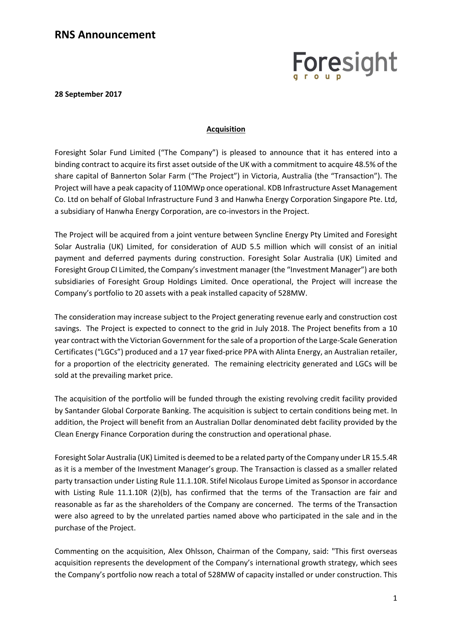## Foresight

**28 September 2017**

## **Acquisition**

Foresight Solar Fund Limited ("The Company") is pleased to announce that it has entered into a binding contract to acquire its first asset outside of the UK with a commitment to acquire 48.5% of the share capital of Bannerton Solar Farm ("The Project") in Victoria, Australia (the "Transaction"). The Project will have a peak capacity of 110MWp once operational. KDB Infrastructure Asset Management Co. Ltd on behalf of Global Infrastructure Fund 3 and Hanwha Energy Corporation Singapore Pte. Ltd, a subsidiary of Hanwha Energy Corporation, are co-investors in the Project.

The Project will be acquired from a joint venture between Syncline Energy Pty Limited and Foresight Solar Australia (UK) Limited, for consideration of AUD 5.5 million which will consist of an initial payment and deferred payments during construction. Foresight Solar Australia (UK) Limited and Foresight Group CI Limited, the Company's investment manager (the "Investment Manager") are both subsidiaries of Foresight Group Holdings Limited. Once operational, the Project will increase the Company's portfolio to 20 assets with a peak installed capacity of 528MW.

The consideration may increase subject to the Project generating revenue early and construction cost savings. The Project is expected to connect to the grid in July 2018. The Project benefits from a 10 year contract with the Victorian Government for the sale of a proportion of the Large-Scale Generation Certificates ("LGCs") produced and a 17 year fixed-price PPA with Alinta Energy, an Australian retailer, for a proportion of the electricity generated. The remaining electricity generated and LGCs will be sold at the prevailing market price.

The acquisition of the portfolio will be funded through the existing revolving credit facility provided by Santander Global Corporate Banking. The acquisition is subject to certain conditions being met. In addition, the Project will benefit from an Australian Dollar denominated debt facility provided by the Clean Energy Finance Corporation during the construction and operational phase.

Foresight Solar Australia (UK) Limited is deemed to be a related party of the Company under LR 15.5.4R as it is a member of the Investment Manager's group. The Transaction is classed as a smaller related party transaction under Listing Rule 11.1.10R. Stifel Nicolaus Europe Limited as Sponsor in accordance with Listing Rule 11.1.10R (2)(b), has confirmed that the terms of the Transaction are fair and reasonable as far as the shareholders of the Company are concerned. The terms of the Transaction were also agreed to by the unrelated parties named above who participated in the sale and in the purchase of the Project.

Commenting on the acquisition, Alex Ohlsson, Chairman of the Company, said: "This first overseas acquisition represents the development of the Company's international growth strategy, which sees the Company's portfolio now reach a total of 528MW of capacity installed or under construction. This